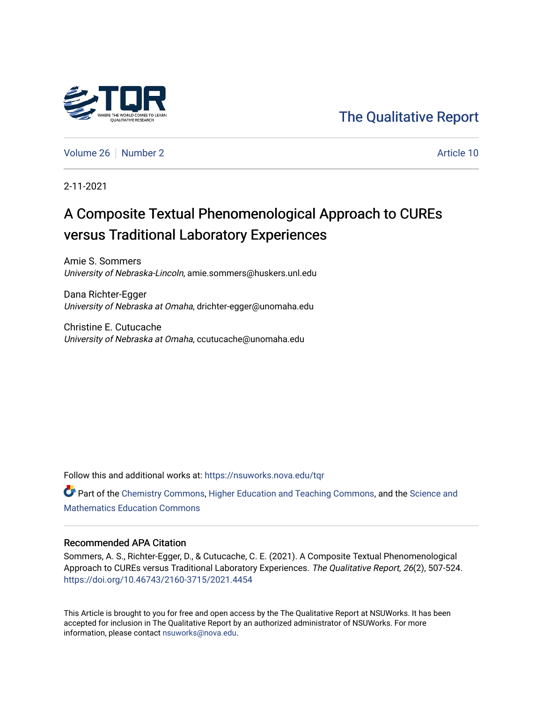

[The Qualitative Report](https://nsuworks.nova.edu/tqr) 

[Volume 26](https://nsuworks.nova.edu/tqr/vol26) [Number 2](https://nsuworks.nova.edu/tqr/vol26/iss2) Article 10

2-11-2021

## A Composite Textual Phenomenological Approach to CUREs versus Traditional Laboratory Experiences

Amie S. Sommers University of Nebraska-Lincoln, amie.sommers@huskers.unl.edu

Dana Richter-Egger University of Nebraska at Omaha, drichter-egger@unomaha.edu

Christine E. Cutucache University of Nebraska at Omaha, ccutucache@unomaha.edu

Follow this and additional works at: [https://nsuworks.nova.edu/tqr](https://nsuworks.nova.edu/tqr?utm_source=nsuworks.nova.edu%2Ftqr%2Fvol26%2Fiss2%2F10&utm_medium=PDF&utm_campaign=PDFCoverPages) 

Part of the [Chemistry Commons,](http://network.bepress.com/hgg/discipline/131?utm_source=nsuworks.nova.edu%2Ftqr%2Fvol26%2Fiss2%2F10&utm_medium=PDF&utm_campaign=PDFCoverPages) [Higher Education and Teaching Commons](http://network.bepress.com/hgg/discipline/806?utm_source=nsuworks.nova.edu%2Ftqr%2Fvol26%2Fiss2%2F10&utm_medium=PDF&utm_campaign=PDFCoverPages), and the [Science and](http://network.bepress.com/hgg/discipline/800?utm_source=nsuworks.nova.edu%2Ftqr%2Fvol26%2Fiss2%2F10&utm_medium=PDF&utm_campaign=PDFCoverPages) [Mathematics Education Commons](http://network.bepress.com/hgg/discipline/800?utm_source=nsuworks.nova.edu%2Ftqr%2Fvol26%2Fiss2%2F10&utm_medium=PDF&utm_campaign=PDFCoverPages) 

#### Recommended APA Citation

Sommers, A. S., Richter-Egger, D., & Cutucache, C. E. (2021). A Composite Textual Phenomenological Approach to CUREs versus Traditional Laboratory Experiences. The Qualitative Report, 26(2), 507-524. <https://doi.org/10.46743/2160-3715/2021.4454>

This Article is brought to you for free and open access by the The Qualitative Report at NSUWorks. It has been accepted for inclusion in The Qualitative Report by an authorized administrator of NSUWorks. For more information, please contact [nsuworks@nova.edu.](mailto:nsuworks@nova.edu)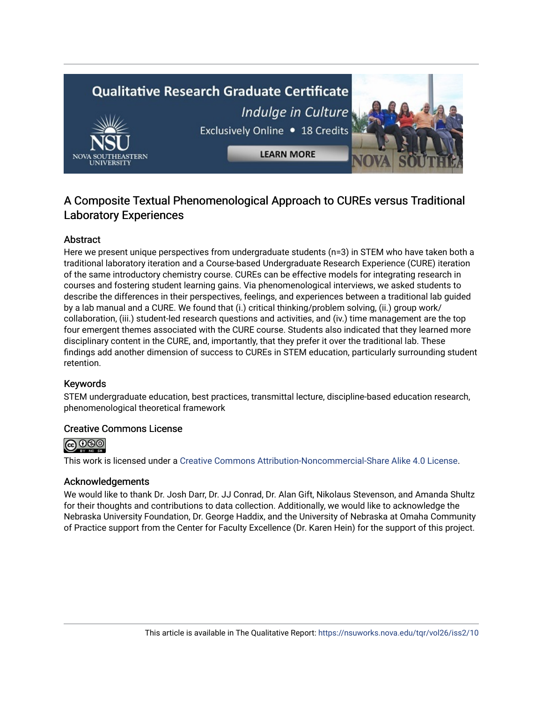# **Qualitative Research Graduate Certificate** Indulge in Culture Exclusively Online . 18 Credits **LEARN MORE**

### A Composite Textual Phenomenological Approach to CUREs versus Traditional Laboratory Experiences

#### Abstract

Here we present unique perspectives from undergraduate students (n=3) in STEM who have taken both a traditional laboratory iteration and a Course-based Undergraduate Research Experience (CURE) iteration of the same introductory chemistry course. CUREs can be effective models for integrating research in courses and fostering student learning gains. Via phenomenological interviews, we asked students to describe the differences in their perspectives, feelings, and experiences between a traditional lab guided by a lab manual and a CURE. We found that (i.) critical thinking/problem solving, (ii.) group work/ collaboration, (iii.) student-led research questions and activities, and (iv.) time management are the top four emergent themes associated with the CURE course. Students also indicated that they learned more disciplinary content in the CURE, and, importantly, that they prefer it over the traditional lab. These findings add another dimension of success to CUREs in STEM education, particularly surrounding student retention.

#### Keywords

STEM undergraduate education, best practices, transmittal lecture, discipline-based education research, phenomenological theoretical framework

#### Creative Commons License



This work is licensed under a [Creative Commons Attribution-Noncommercial-Share Alike 4.0 License](https://creativecommons.org/licenses/by-nc-sa/4.0/).

#### Acknowledgements

We would like to thank Dr. Josh Darr, Dr. JJ Conrad, Dr. Alan Gift, Nikolaus Stevenson, and Amanda Shultz for their thoughts and contributions to data collection. Additionally, we would like to acknowledge the Nebraska University Foundation, Dr. George Haddix, and the University of Nebraska at Omaha Community of Practice support from the Center for Faculty Excellence (Dr. Karen Hein) for the support of this project.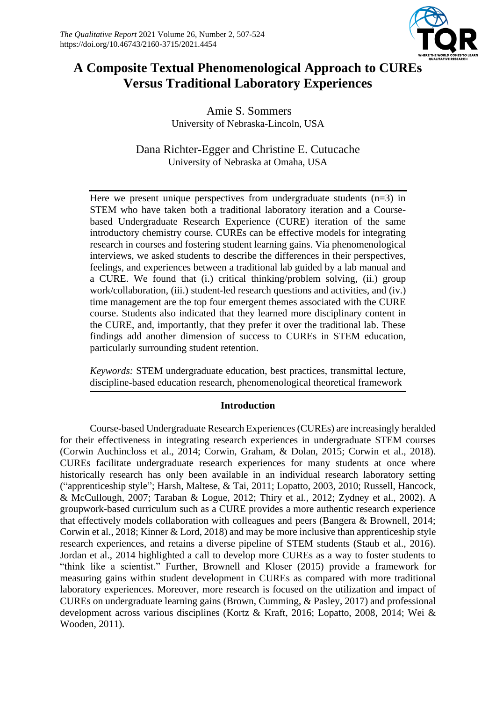

## **A Composite Textual Phenomenological Approach to CUREs Versus Traditional Laboratory Experiences**

Amie S. Sommers University of Nebraska-Lincoln, USA

Dana Richter-Egger and Christine E. Cutucache University of Nebraska at Omaha, USA

Here we present unique perspectives from undergraduate students  $(n=3)$  in STEM who have taken both a traditional laboratory iteration and a Coursebased Undergraduate Research Experience (CURE) iteration of the same introductory chemistry course. CUREs can be effective models for integrating research in courses and fostering student learning gains. Via phenomenological interviews, we asked students to describe the differences in their perspectives, feelings, and experiences between a traditional lab guided by a lab manual and a CURE. We found that (i.) critical thinking/problem solving, (ii.) group work/collaboration, (iii.) student-led research questions and activities, and (iv.) time management are the top four emergent themes associated with the CURE course. Students also indicated that they learned more disciplinary content in the CURE, and, importantly, that they prefer it over the traditional lab. These findings add another dimension of success to CUREs in STEM education, particularly surrounding student retention.

*Keywords:* STEM undergraduate education, best practices, transmittal lecture, discipline-based education research, phenomenological theoretical framework

#### **Introduction**

Course-based Undergraduate Research Experiences (CUREs) are increasingly heralded for their effectiveness in integrating research experiences in undergraduate STEM courses (Corwin Auchincloss et al., 2014; Corwin, Graham, & Dolan, 2015; Corwin et al., 2018). CUREs facilitate undergraduate research experiences for many students at once where historically research has only been available in an individual research laboratory setting ("apprenticeship style"; Harsh, Maltese, & Tai, 2011; Lopatto, 2003, 2010; Russell, Hancock, & McCullough, 2007; Taraban & Logue, 2012; Thiry et al., 2012; Zydney et al., 2002). A groupwork-based curriculum such as a CURE provides a more authentic research experience that effectively models collaboration with colleagues and peers (Bangera & Brownell, 2014; Corwin et al., 2018; Kinner & Lord, 2018) and may be more inclusive than apprenticeship style research experiences, and retains a diverse pipeline of STEM students (Staub et al., 2016). Jordan et al., 2014 highlighted a call to develop more CUREs as a way to foster students to "think like a scientist." Further, Brownell and Kloser (2015) provide a framework for measuring gains within student development in CUREs as compared with more traditional laboratory experiences. Moreover, more research is focused on the utilization and impact of CUREs on undergraduate learning gains (Brown, Cumming, & Pasley, 2017) and professional development across various disciplines (Kortz & Kraft, 2016; Lopatto, 2008, 2014; Wei & Wooden, 2011).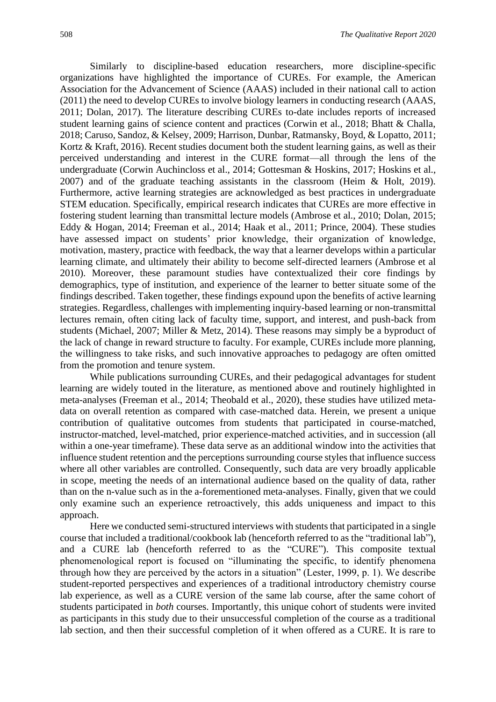Similarly to discipline-based education researchers, more discipline-specific organizations have highlighted the importance of CUREs. For example, the American Association for the Advancement of Science (AAAS) included in their national call to action (2011) the need to develop CUREs to involve biology learners in conducting research (AAAS, 2011; Dolan, 2017). The literature describing CUREs to-date includes reports of increased student learning gains of science content and practices (Corwin et al., 2018; Bhatt & Challa, 2018; Caruso, Sandoz, & Kelsey, 2009; Harrison, Dunbar, Ratmansky, Boyd, & Lopatto, 2011; Kortz & Kraft, 2016). Recent studies document both the student learning gains, as well as their perceived understanding and interest in the CURE format—all through the lens of the undergraduate (Corwin Auchincloss et al., 2014; Gottesman & Hoskins, 2017; Hoskins et al., 2007) and of the graduate teaching assistants in the classroom (Heim & Holt, 2019). Furthermore, active learning strategies are acknowledged as best practices in undergraduate STEM education. Specifically, empirical research indicates that CUREs are more effective in fostering student learning than transmittal lecture models (Ambrose et al., 2010; Dolan, 2015; Eddy & Hogan, 2014; Freeman et al., 2014; Haak et al., 2011; Prince, 2004). These studies have assessed impact on students' prior knowledge, their organization of knowledge, motivation, mastery, practice with feedback, the way that a learner develops within a particular learning climate, and ultimately their ability to become self-directed learners (Ambrose et al 2010). Moreover, these paramount studies have contextualized their core findings by demographics, type of institution, and experience of the learner to better situate some of the findings described. Taken together, these findings expound upon the benefits of active learning strategies. Regardless, challenges with implementing inquiry-based learning or non-transmittal lectures remain, often citing lack of faculty time, support, and interest, and push-back from students (Michael, 2007; Miller & Metz, 2014). These reasons may simply be a byproduct of the lack of change in reward structure to faculty. For example, CUREs include more planning, the willingness to take risks, and such innovative approaches to pedagogy are often omitted from the promotion and tenure system.

While publications surrounding CUREs, and their pedagogical advantages for student learning are widely touted in the literature, as mentioned above and routinely highlighted in meta-analyses (Freeman et al., 2014; Theobald et al., 2020), these studies have utilized metadata on overall retention as compared with case-matched data. Herein, we present a unique contribution of qualitative outcomes from students that participated in course-matched, instructor-matched, level-matched, prior experience-matched activities, and in succession (all within a one-year timeframe). These data serve as an additional window into the activities that influence student retention and the perceptions surrounding course styles that influence success where all other variables are controlled. Consequently, such data are very broadly applicable in scope, meeting the needs of an international audience based on the quality of data, rather than on the n-value such as in the a-forementioned meta-analyses. Finally, given that we could only examine such an experience retroactively, this adds uniqueness and impact to this approach.

Here we conducted semi-structured interviews with students that participated in a single course that included a traditional/cookbook lab (henceforth referred to as the "traditional lab"), and a CURE lab (henceforth referred to as the "CURE"). This composite textual phenomenological report is focused on "illuminating the specific, to identify phenomena through how they are perceived by the actors in a situation" (Lester, 1999, p. 1). We describe student-reported perspectives and experiences of a traditional introductory chemistry course lab experience, as well as a CURE version of the same lab course, after the same cohort of students participated in *both* courses. Importantly, this unique cohort of students were invited as participants in this study due to their unsuccessful completion of the course as a traditional lab section, and then their successful completion of it when offered as a CURE. It is rare to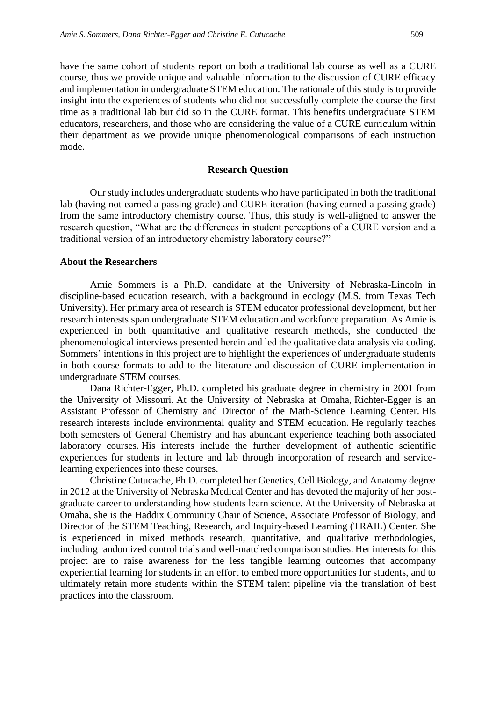have the same cohort of students report on both a traditional lab course as well as a CURE course, thus we provide unique and valuable information to the discussion of CURE efficacy and implementation in undergraduate STEM education. The rationale of this study is to provide insight into the experiences of students who did not successfully complete the course the first time as a traditional lab but did so in the CURE format. This benefits undergraduate STEM educators, researchers, and those who are considering the value of a CURE curriculum within their department as we provide unique phenomenological comparisons of each instruction mode.

#### **Research Question**

Our study includes undergraduate students who have participated in both the traditional lab (having not earned a passing grade) and CURE iteration (having earned a passing grade) from the same introductory chemistry course. Thus, this study is well-aligned to answer the research question, "What are the differences in student perceptions of a CURE version and a traditional version of an introductory chemistry laboratory course?"

#### **About the Researchers**

Amie Sommers is a Ph.D. candidate at the University of Nebraska-Lincoln in discipline-based education research, with a background in ecology (M.S. from Texas Tech University). Her primary area of research is STEM educator professional development, but her research interests span undergraduate STEM education and workforce preparation. As Amie is experienced in both quantitative and qualitative research methods, she conducted the phenomenological interviews presented herein and led the qualitative data analysis via coding. Sommers' intentions in this project are to highlight the experiences of undergraduate students in both course formats to add to the literature and discussion of CURE implementation in undergraduate STEM courses.

Dana Richter-Egger, Ph.D. completed his graduate degree in chemistry in 2001 from the University of Missouri. At the University of Nebraska at Omaha, Richter-Egger is an Assistant Professor of Chemistry and Director of the Math-Science Learning Center. His research interests include environmental quality and STEM education. He regularly teaches both semesters of General Chemistry and has abundant experience teaching both associated laboratory courses. His interests include the further development of authentic scientific experiences for students in lecture and lab through incorporation of research and servicelearning experiences into these courses.

Christine Cutucache, Ph.D. completed her Genetics, Cell Biology, and Anatomy degree in 2012 at the University of Nebraska Medical Center and has devoted the majority of her postgraduate career to understanding how students learn science. At the University of Nebraska at Omaha, she is the Haddix Community Chair of Science, Associate Professor of Biology, and Director of the STEM Teaching, Research, and Inquiry-based Learning (TRAIL) Center. She is experienced in mixed methods research, quantitative, and qualitative methodologies, including randomized control trials and well-matched comparison studies. Her interests for this project are to raise awareness for the less tangible learning outcomes that accompany experiential learning for students in an effort to embed more opportunities for students, and to ultimately retain more students within the STEM talent pipeline via the translation of best practices into the classroom.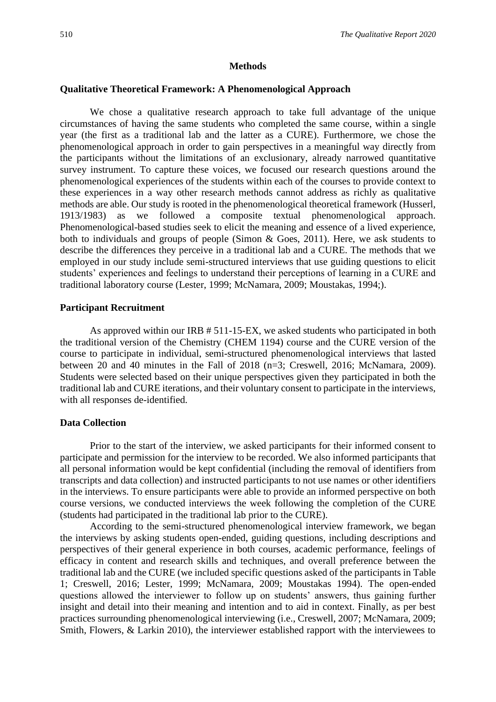#### **Methods**

#### **Qualitative Theoretical Framework: A Phenomenological Approach**

We chose a qualitative research approach to take full advantage of the unique circumstances of having the same students who completed the same course, within a single year (the first as a traditional lab and the latter as a CURE). Furthermore, we chose the phenomenological approach in order to gain perspectives in a meaningful way directly from the participants without the limitations of an exclusionary, already narrowed quantitative survey instrument. To capture these voices, we focused our research questions around the phenomenological experiences of the students within each of the courses to provide context to these experiences in a way other research methods cannot address as richly as qualitative methods are able. Our study is rooted in the phenomenological theoretical framework (Husserl, 1913/1983) as we followed a composite textual phenomenological approach. Phenomenological-based studies seek to elicit the meaning and essence of a lived experience, both to individuals and groups of people (Simon & Goes, 2011). Here, we ask students to describe the differences they perceive in a traditional lab and a CURE. The methods that we employed in our study include semi-structured interviews that use guiding questions to elicit students' experiences and feelings to understand their perceptions of learning in a CURE and traditional laboratory course (Lester, 1999; McNamara, 2009; Moustakas, 1994;).

#### **Participant Recruitment**

As approved within our IRB # 511-15-EX, we asked students who participated in both the traditional version of the Chemistry (CHEM 1194) course and the CURE version of the course to participate in individual, semi-structured phenomenological interviews that lasted between 20 and 40 minutes in the Fall of 2018 (n=3; Creswell, 2016; McNamara, 2009). Students were selected based on their unique perspectives given they participated in both the traditional lab and CURE iterations, and their voluntary consent to participate in the interviews, with all responses de-identified.

#### **Data Collection**

Prior to the start of the interview, we asked participants for their informed consent to participate and permission for the interview to be recorded. We also informed participants that all personal information would be kept confidential (including the removal of identifiers from transcripts and data collection) and instructed participants to not use names or other identifiers in the interviews. To ensure participants were able to provide an informed perspective on both course versions, we conducted interviews the week following the completion of the CURE (students had participated in the traditional lab prior to the CURE).

According to the semi-structured phenomenological interview framework, we began the interviews by asking students open-ended, guiding questions, including descriptions and perspectives of their general experience in both courses, academic performance, feelings of efficacy in content and research skills and techniques, and overall preference between the traditional lab and the CURE (we included specific questions asked of the participants in Table 1; Creswell, 2016; Lester, 1999; McNamara, 2009; Moustakas 1994). The open-ended questions allowed the interviewer to follow up on students' answers, thus gaining further insight and detail into their meaning and intention and to aid in context. Finally, as per best practices surrounding phenomenological interviewing (i.e., Creswell, 2007; McNamara, 2009; Smith, Flowers, & Larkin 2010), the interviewer established rapport with the interviewees to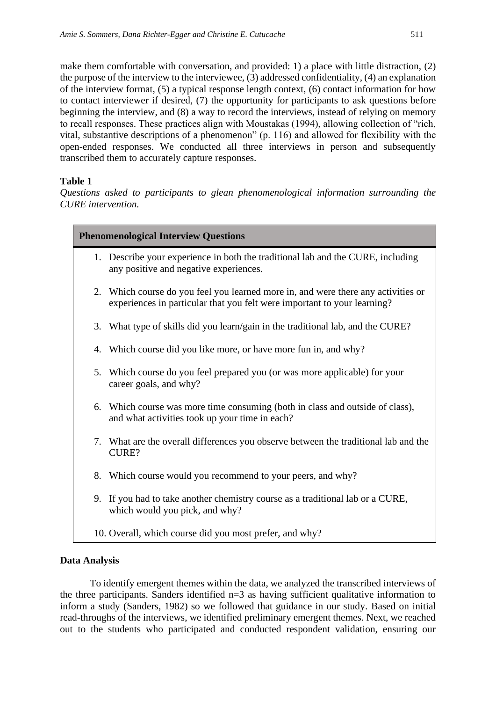make them comfortable with conversation, and provided: 1) a place with little distraction, (2) the purpose of the interview to the interviewee, (3) addressed confidentiality, (4) an explanation of the interview format, (5) a typical response length context, (6) contact information for how to contact interviewer if desired, (7) the opportunity for participants to ask questions before beginning the interview, and (8) a way to record the interviews, instead of relying on memory to recall responses. These practices align with Moustakas (1994), allowing collection of "rich, vital, substantive descriptions of a phenomenon" (p. 116) and allowed for flexibility with the open-ended responses. We conducted all three interviews in person and subsequently transcribed them to accurately capture responses.

#### **Table 1**

*Questions asked to participants to glean phenomenological information surrounding the CURE intervention.*

#### **Phenomenological Interview Questions**

- 1. Describe your experience in both the traditional lab and the CURE, including any positive and negative experiences.
- 2. Which course do you feel you learned more in, and were there any activities or experiences in particular that you felt were important to your learning?
- 3. What type of skills did you learn/gain in the traditional lab, and the CURE?
- 4. Which course did you like more, or have more fun in, and why?
- 5. Which course do you feel prepared you (or was more applicable) for your career goals, and why?
- 6. Which course was more time consuming (both in class and outside of class), and what activities took up your time in each?
- 7. What are the overall differences you observe between the traditional lab and the CURE?
- 8. Which course would you recommend to your peers, and why?
- 9. If you had to take another chemistry course as a traditional lab or a CURE, which would you pick, and why?
- 10. Overall, which course did you most prefer, and why?

#### **Data Analysis**

To identify emergent themes within the data, we analyzed the transcribed interviews of the three participants. Sanders identified n=3 as having sufficient qualitative information to inform a study (Sanders, 1982) so we followed that guidance in our study. Based on initial read-throughs of the interviews, we identified preliminary emergent themes. Next, we reached out to the students who participated and conducted respondent validation, ensuring our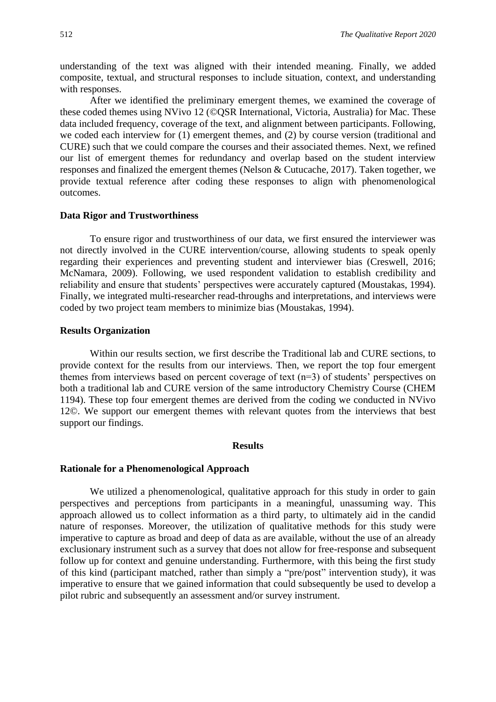understanding of the text was aligned with their intended meaning. Finally, we added composite, textual, and structural responses to include situation, context, and understanding with responses.

After we identified the preliminary emergent themes, we examined the coverage of these coded themes using NVivo 12 (©QSR International, Victoria, Australia) for Mac. These data included frequency, coverage of the text, and alignment between participants. Following, we coded each interview for (1) emergent themes, and (2) by course version (traditional and CURE) such that we could compare the courses and their associated themes. Next, we refined our list of emergent themes for redundancy and overlap based on the student interview responses and finalized the emergent themes (Nelson & Cutucache, 2017). Taken together, we provide textual reference after coding these responses to align with phenomenological outcomes.

#### **Data Rigor and Trustworthiness**

To ensure rigor and trustworthiness of our data, we first ensured the interviewer was not directly involved in the CURE intervention/course, allowing students to speak openly regarding their experiences and preventing student and interviewer bias (Creswell, 2016; McNamara, 2009). Following, we used respondent validation to establish credibility and reliability and ensure that students' perspectives were accurately captured (Moustakas, 1994). Finally, we integrated multi-researcher read-throughs and interpretations, and interviews were coded by two project team members to minimize bias (Moustakas, 1994).

#### **Results Organization**

Within our results section, we first describe the Traditional lab and CURE sections, to provide context for the results from our interviews. Then, we report the top four emergent themes from interviews based on percent coverage of text (n=3) of students' perspectives on both a traditional lab and CURE version of the same introductory Chemistry Course (CHEM 1194). These top four emergent themes are derived from the coding we conducted in NVivo 12©. We support our emergent themes with relevant quotes from the interviews that best support our findings.

#### **Results**

#### **Rationale for a Phenomenological Approach**

We utilized a phenomenological, qualitative approach for this study in order to gain perspectives and perceptions from participants in a meaningful, unassuming way. This approach allowed us to collect information as a third party, to ultimately aid in the candid nature of responses. Moreover, the utilization of qualitative methods for this study were imperative to capture as broad and deep of data as are available, without the use of an already exclusionary instrument such as a survey that does not allow for free-response and subsequent follow up for context and genuine understanding. Furthermore, with this being the first study of this kind (participant matched, rather than simply a "pre/post" intervention study), it was imperative to ensure that we gained information that could subsequently be used to develop a pilot rubric and subsequently an assessment and/or survey instrument.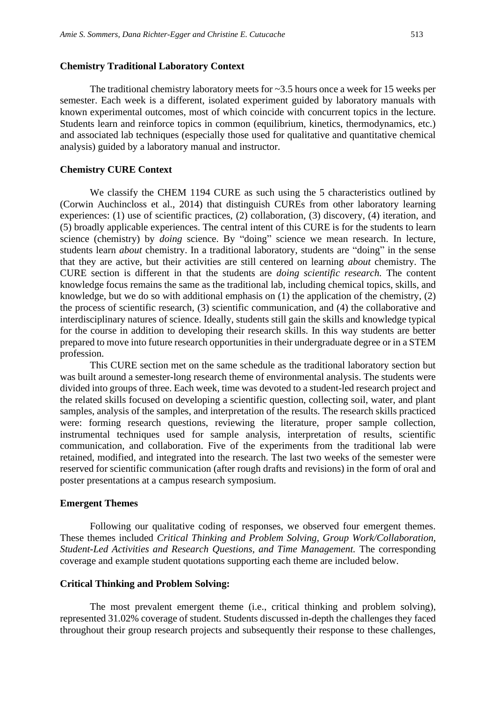The traditional chemistry laboratory meets for  $\sim$ 3.5 hours once a week for 15 weeks per semester. Each week is a different, isolated experiment guided by laboratory manuals with known experimental outcomes, most of which coincide with concurrent topics in the lecture. Students learn and reinforce topics in common (equilibrium, kinetics, thermodynamics, etc.) and associated lab techniques (especially those used for qualitative and quantitative chemical analysis) guided by a laboratory manual and instructor.

#### **Chemistry CURE Context**

We classify the CHEM 1194 CURE as such using the 5 characteristics outlined by (Corwin Auchincloss et al., 2014) that distinguish CUREs from other laboratory learning experiences: (1) use of scientific practices, (2) collaboration, (3) discovery, (4) iteration, and (5) broadly applicable experiences. The central intent of this CURE is for the students to learn science (chemistry) by *doing* science. By "doing" science we mean research. In lecture, students learn *about* chemistry. In a traditional laboratory, students are "doing" in the sense that they are active, but their activities are still centered on learning *about* chemistry. The CURE section is different in that the students are *doing scientific research.* The content knowledge focus remains the same as the traditional lab, including chemical topics, skills, and knowledge, but we do so with additional emphasis on (1) the application of the chemistry, (2) the process of scientific research, (3) scientific communication, and (4) the collaborative and interdisciplinary natures of science. Ideally, students still gain the skills and knowledge typical for the course in addition to developing their research skills. In this way students are better prepared to move into future research opportunities in their undergraduate degree or in a STEM profession.

This CURE section met on the same schedule as the traditional laboratory section but was built around a semester-long research theme of environmental analysis. The students were divided into groups of three. Each week, time was devoted to a student-led research project and the related skills focused on developing a scientific question, collecting soil, water, and plant samples, analysis of the samples, and interpretation of the results. The research skills practiced were: forming research questions, reviewing the literature, proper sample collection, instrumental techniques used for sample analysis, interpretation of results, scientific communication, and collaboration. Five of the experiments from the traditional lab were retained, modified, and integrated into the research. The last two weeks of the semester were reserved for scientific communication (after rough drafts and revisions) in the form of oral and poster presentations at a campus research symposium.

#### **Emergent Themes**

Following our qualitative coding of responses, we observed four emergent themes. These themes included *Critical Thinking and Problem Solving, Group Work/Collaboration, Student-Led Activities and Research Questions, and Time Management.* The corresponding coverage and example student quotations supporting each theme are included below.

#### **Critical Thinking and Problem Solving:**

The most prevalent emergent theme (i.e., critical thinking and problem solving), represented 31.02% coverage of student. Students discussed in-depth the challenges they faced throughout their group research projects and subsequently their response to these challenges,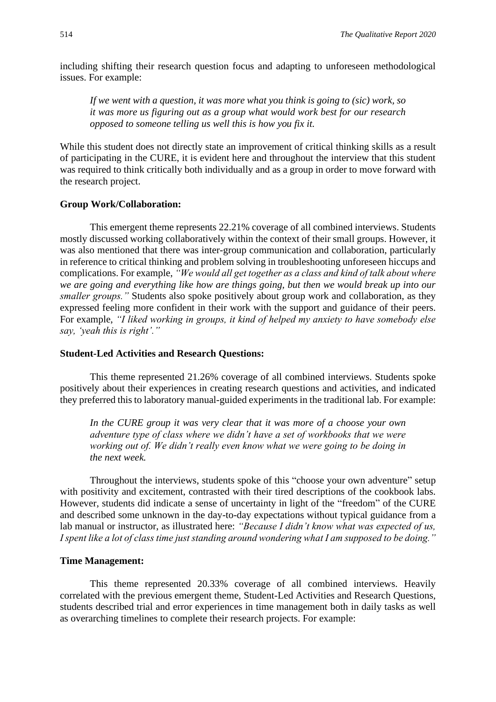including shifting their research question focus and adapting to unforeseen methodological issues. For example:

*If we went with a question, it was more what you think is going to (sic) work, so it was more us figuring out as a group what would work best for our research opposed to someone telling us well this is how you fix it.*

While this student does not directly state an improvement of critical thinking skills as a result of participating in the CURE, it is evident here and throughout the interview that this student was required to think critically both individually and as a group in order to move forward with the research project.

#### **Group Work/Collaboration:**

This emergent theme represents 22.21% coverage of all combined interviews. Students mostly discussed working collaboratively within the context of their small groups. However, it was also mentioned that there was inter-group communication and collaboration, particularly in reference to critical thinking and problem solving in troubleshooting unforeseen hiccups and complications. For example, *"We would all get together as a class and kind of talk about where we are going and everything like how are things going, but then we would break up into our smaller groups."* Students also spoke positively about group work and collaboration, as they expressed feeling more confident in their work with the support and guidance of their peers. For example, *"I liked working in groups, it kind of helped my anxiety to have somebody else say, 'yeah this is right'."*

#### **Student-Led Activities and Research Questions:**

This theme represented 21.26% coverage of all combined interviews. Students spoke positively about their experiences in creating research questions and activities, and indicated they preferred this to laboratory manual-guided experiments in the traditional lab. For example:

*In the CURE group it was very clear that it was more of a choose your own adventure type of class where we didn't have a set of workbooks that we were working out of. We didn't really even know what we were going to be doing in the next week.*

Throughout the interviews, students spoke of this "choose your own adventure" setup with positivity and excitement, contrasted with their tired descriptions of the cookbook labs. However, students did indicate a sense of uncertainty in light of the "freedom" of the CURE and described some unknown in the day-to-day expectations without typical guidance from a lab manual or instructor, as illustrated here: *"Because I didn't know what was expected of us, I spent like a lot of class time just standing around wondering what I am supposed to be doing."*

#### **Time Management:**

This theme represented 20.33% coverage of all combined interviews. Heavily correlated with the previous emergent theme, Student-Led Activities and Research Questions, students described trial and error experiences in time management both in daily tasks as well as overarching timelines to complete their research projects. For example: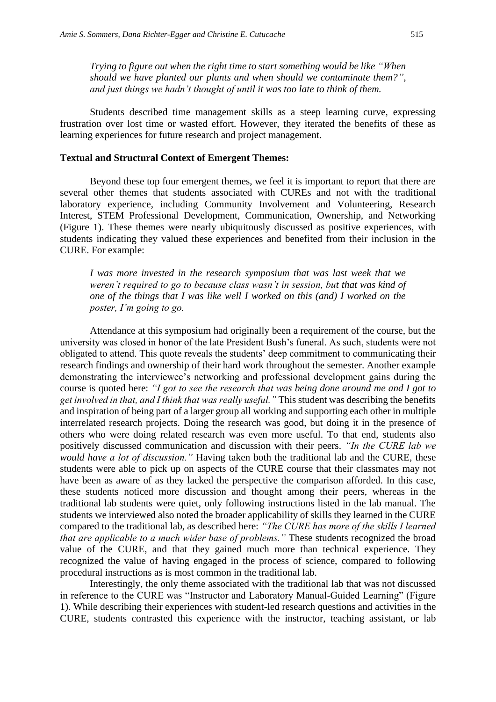*Trying to figure out when the right time to start something would be like "When should we have planted our plants and when should we contaminate them?", and just things we hadn't thought of until it was too late to think of them.*

Students described time management skills as a steep learning curve, expressing frustration over lost time or wasted effort. However, they iterated the benefits of these as learning experiences for future research and project management.

#### **Textual and Structural Context of Emergent Themes:**

Beyond these top four emergent themes, we feel it is important to report that there are several other themes that students associated with CUREs and not with the traditional laboratory experience, including Community Involvement and Volunteering, Research Interest, STEM Professional Development, Communication, Ownership, and Networking (Figure 1). These themes were nearly ubiquitously discussed as positive experiences, with students indicating they valued these experiences and benefited from their inclusion in the CURE. For example:

*I was more invested in the research symposium that was last week that we weren't required to go to because class wasn't in session, but that was kind of one of the things that I was like well I worked on this (and) I worked on the poster, I'm going to go.*

Attendance at this symposium had originally been a requirement of the course, but the university was closed in honor of the late President Bush's funeral. As such, students were not obligated to attend. This quote reveals the students' deep commitment to communicating their research findings and ownership of their hard work throughout the semester. Another example demonstrating the interviewee's networking and professional development gains during the course is quoted here: *"I got to see the research that was being done around me and I got to get involved in that, and I think that was really useful."* This student was describing the benefits and inspiration of being part of a larger group all working and supporting each other in multiple interrelated research projects. Doing the research was good, but doing it in the presence of others who were doing related research was even more useful. To that end, students also positively discussed communication and discussion with their peers. *"In the CURE lab we would have a lot of discussion."* Having taken both the traditional lab and the CURE, these students were able to pick up on aspects of the CURE course that their classmates may not have been as aware of as they lacked the perspective the comparison afforded. In this case, these students noticed more discussion and thought among their peers, whereas in the traditional lab students were quiet, only following instructions listed in the lab manual. The students we interviewed also noted the broader applicability of skills they learned in the CURE compared to the traditional lab, as described here: *"The CURE has more of the skills I learned that are applicable to a much wider base of problems."* These students recognized the broad value of the CURE, and that they gained much more than technical experience. They recognized the value of having engaged in the process of science, compared to following procedural instructions as is most common in the traditional lab.

Interestingly, the only theme associated with the traditional lab that was not discussed in reference to the CURE was "Instructor and Laboratory Manual-Guided Learning" (Figure 1). While describing their experiences with student-led research questions and activities in the CURE, students contrasted this experience with the instructor, teaching assistant, or lab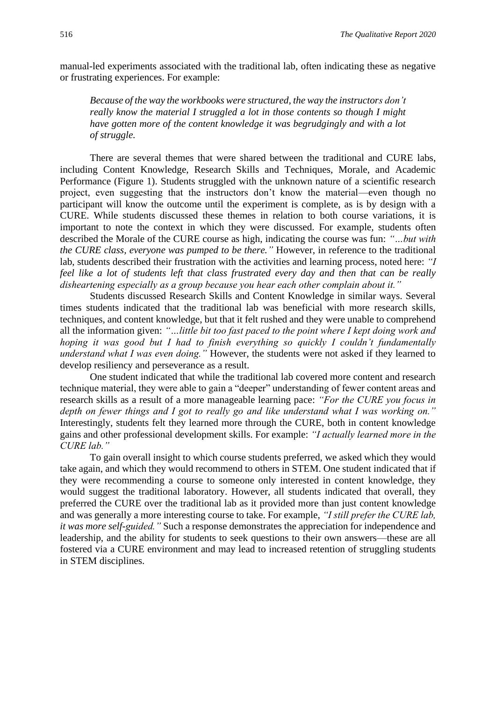manual-led experiments associated with the traditional lab, often indicating these as negative or frustrating experiences. For example:

*Because of the way the workbooks were structured, the way the instructors don't really know the material I struggled a lot in those contents so though I might have gotten more of the content knowledge it was begrudgingly and with a lot of struggle.*

There are several themes that were shared between the traditional and CURE labs, including Content Knowledge, Research Skills and Techniques, Morale, and Academic Performance (Figure 1). Students struggled with the unknown nature of a scientific research project, even suggesting that the instructors don't know the material—even though no participant will know the outcome until the experiment is complete, as is by design with a CURE. While students discussed these themes in relation to both course variations, it is important to note the context in which they were discussed. For example, students often described the Morale of the CURE course as high, indicating the course was fun: *"…but with the CURE class, everyone was pumped to be there."* However, in reference to the traditional lab, students described their frustration with the activities and learning process, noted here: *"I feel like a lot of students left that class frustrated every day and then that can be really disheartening especially as a group because you hear each other complain about it."*

Students discussed Research Skills and Content Knowledge in similar ways. Several times students indicated that the traditional lab was beneficial with more research skills, techniques, and content knowledge, but that it felt rushed and they were unable to comprehend all the information given: *"…little bit too fast paced to the point where I kept doing work and hoping it was good but I had to finish everything so quickly I couldn't fundamentally understand what I was even doing."* However, the students were not asked if they learned to develop resiliency and perseverance as a result.

One student indicated that while the traditional lab covered more content and research technique material, they were able to gain a "deeper" understanding of fewer content areas and research skills as a result of a more manageable learning pace: *"For the CURE you focus in depth on fewer things and I got to really go and like understand what I was working on."* Interestingly, students felt they learned more through the CURE, both in content knowledge gains and other professional development skills. For example: *"I actually learned more in the CURE lab."*

To gain overall insight to which course students preferred, we asked which they would take again, and which they would recommend to others in STEM. One student indicated that if they were recommending a course to someone only interested in content knowledge, they would suggest the traditional laboratory. However, all students indicated that overall, they preferred the CURE over the traditional lab as it provided more than just content knowledge and was generally a more interesting course to take. For example, *"I still prefer the CURE lab, it was more self-guided."* Such a response demonstrates the appreciation for independence and leadership, and the ability for students to seek questions to their own answers—these are all fostered via a CURE environment and may lead to increased retention of struggling students in STEM disciplines.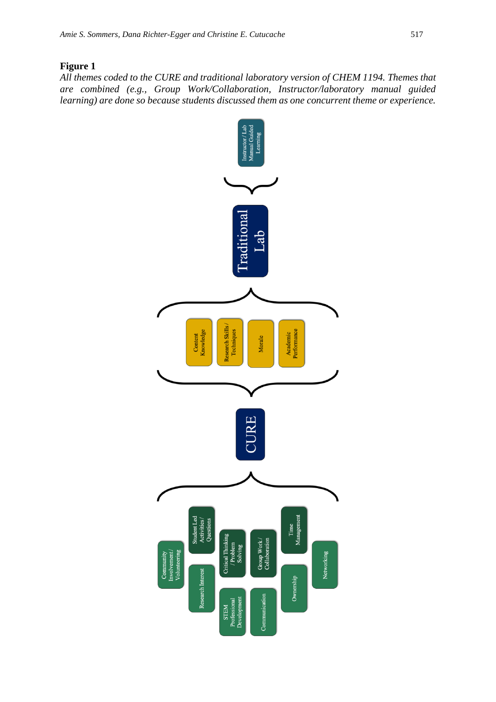#### **Figure 1**

*All themes coded to the CURE and traditional laboratory version of CHEM 1194. Themes that are combined (e.g., Group Work/Collaboration, Instructor/laboratory manual guided learning) are done so because students discussed them as one concurrent theme or experience.*

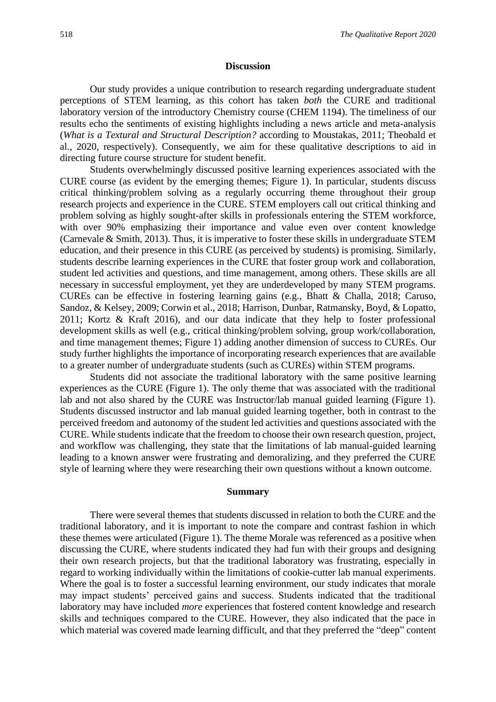#### **Discussion**

Our study provides a unique contribution to research regarding undergraduate student perceptions of STEM learning, as this cohort has taken *both* the CURE and traditional laboratory version of the introductory Chemistry course (CHEM 1194). The timeliness of our results echo the sentiments of existing highlights including a news article and meta-analysis (*What is a Textural and Structural Description?* according to Moustakas, 2011; Theobald et al., 2020, respectively). Consequently, we aim for these qualitative descriptions to aid in directing future course structure for student benefit.

Students overwhelmingly discussed positive learning experiences associated with the CURE course (as evident by the emerging themes; Figure 1). In particular, students discuss critical thinking/problem solving as a regularly occurring theme throughout their group research projects and experience in the CURE. STEM employers call out critical thinking and problem solving as highly sought-after skills in professionals entering the STEM workforce, with over 90% emphasizing their importance and value even over content knowledge (Carnevale & Smith, 2013). Thus, it is imperative to foster these skills in undergraduate STEM education, and their presence in this CURE (as perceived by students) is promising. Similarly, students describe learning experiences in the CURE that foster group work and collaboration, student led activities and questions, and time management, among others. These skills are all necessary in successful employment, yet they are underdeveloped by many STEM programs. CUREs can be effective in fostering learning gains (e.g., Bhatt & Challa, 2018; Caruso, Sandoz, & Kelsey, 2009; Corwin et al., 2018; Harrison, Dunbar, Ratmansky, Boyd, & Lopatto, 2011; Kortz & Kraft 2016), and our data indicate that they help to foster professional development skills as well (e.g., critical thinking/problem solving, group work/collaboration, and time management themes; Figure 1) adding another dimension of success to CUREs. Our study further highlights the importance of incorporating research experiences that are available to a greater number of undergraduate students (such as CUREs) within STEM programs.

Students did not associate the traditional laboratory with the same positive learning experiences as the CURE (Figure 1). The only theme that was associated with the traditional lab and not also shared by the CURE was Instructor/lab manual guided learning (Figure 1). Students discussed instructor and lab manual guided learning together, both in contrast to the perceived freedom and autonomy of the student led activities and questions associated with the CURE. While students indicate that the freedom to choose their own research question, project, and workflow was challenging, they state that the limitations of lab manual-guided learning leading to a known answer were frustrating and demoralizing, and they preferred the CURE style of learning where they were researching their own questions without a known outcome.

#### **Summary**

There were several themes that students discussed in relation to both the CURE and the traditional laboratory, and it is important to note the compare and contrast fashion in which these themes were articulated (Figure 1). The theme Morale was referenced as a positive when discussing the CURE, where students indicated they had fun with their groups and designing their own research projects, but that the traditional laboratory was frustrating, especially in regard to working individually within the limitations of cookie-cutter lab manual experiments. Where the goal is to foster a successful learning environment, our study indicates that morale may impact students' perceived gains and success. Students indicated that the traditional laboratory may have included *more* experiences that fostered content knowledge and research skills and techniques compared to the CURE. However, they also indicated that the pace in which material was covered made learning difficult, and that they preferred the "deep" content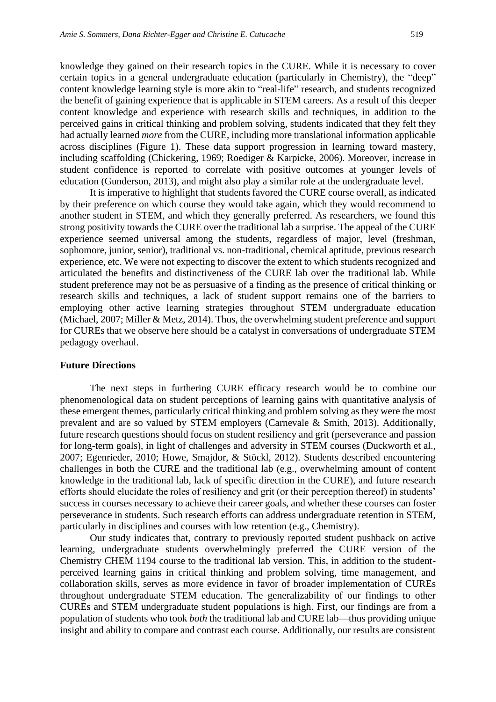knowledge they gained on their research topics in the CURE. While it is necessary to cover certain topics in a general undergraduate education (particularly in Chemistry), the "deep" content knowledge learning style is more akin to "real-life" research, and students recognized the benefit of gaining experience that is applicable in STEM careers. As a result of this deeper content knowledge and experience with research skills and techniques, in addition to the perceived gains in critical thinking and problem solving, students indicated that they felt they had actually learned *more* from the CURE, including more translational information applicable across disciplines (Figure 1). These data support progression in learning toward mastery, including scaffolding (Chickering, 1969; Roediger & Karpicke, 2006). Moreover, increase in student confidence is reported to correlate with positive outcomes at younger levels of education (Gunderson, 2013), and might also play a similar role at the undergraduate level.

It is imperative to highlight that students favored the CURE course overall, as indicated by their preference on which course they would take again, which they would recommend to another student in STEM, and which they generally preferred. As researchers, we found this strong positivity towards the CURE over the traditional lab a surprise. The appeal of the CURE experience seemed universal among the students, regardless of major, level (freshman, sophomore, junior, senior), traditional vs. non-traditional, chemical aptitude, previous research experience, etc. We were not expecting to discover the extent to which students recognized and articulated the benefits and distinctiveness of the CURE lab over the traditional lab. While student preference may not be as persuasive of a finding as the presence of critical thinking or research skills and techniques, a lack of student support remains one of the barriers to employing other active learning strategies throughout STEM undergraduate education (Michael, 2007; Miller & Metz, 2014). Thus, the overwhelming student preference and support for CUREs that we observe here should be a catalyst in conversations of undergraduate STEM pedagogy overhaul.

#### **Future Directions**

The next steps in furthering CURE efficacy research would be to combine our phenomenological data on student perceptions of learning gains with quantitative analysis of these emergent themes, particularly critical thinking and problem solving as they were the most prevalent and are so valued by STEM employers (Carnevale & Smith, 2013). Additionally, future research questions should focus on student resiliency and grit (perseverance and passion for long-term goals), in light of challenges and adversity in STEM courses (Duckworth et al., 2007; Egenrieder, 2010; Howe, Smajdor, & Stöckl, 2012). Students described encountering challenges in both the CURE and the traditional lab (e.g., overwhelming amount of content knowledge in the traditional lab, lack of specific direction in the CURE), and future research efforts should elucidate the roles of resiliency and grit (or their perception thereof) in students' success in courses necessary to achieve their career goals, and whether these courses can foster perseverance in students. Such research efforts can address undergraduate retention in STEM, particularly in disciplines and courses with low retention (e.g., Chemistry).

Our study indicates that, contrary to previously reported student pushback on active learning, undergraduate students overwhelmingly preferred the CURE version of the Chemistry CHEM 1194 course to the traditional lab version. This, in addition to the studentperceived learning gains in critical thinking and problem solving, time management, and collaboration skills, serves as more evidence in favor of broader implementation of CUREs throughout undergraduate STEM education. The generalizability of our findings to other CUREs and STEM undergraduate student populations is high. First, our findings are from a population of students who took *both* the traditional lab and CURE lab—thus providing unique insight and ability to compare and contrast each course. Additionally, our results are consistent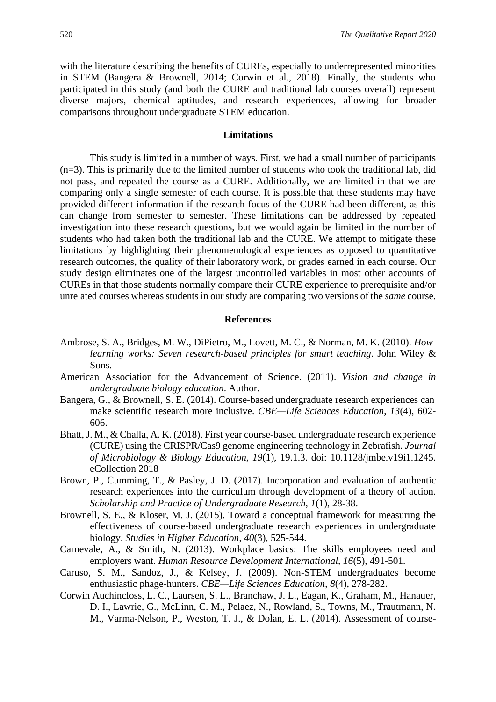with the literature describing the benefits of CUREs, especially to underrepresented minorities in STEM (Bangera & Brownell, 2014; Corwin et al., 2018). Finally, the students who participated in this study (and both the CURE and traditional lab courses overall) represent diverse majors, chemical aptitudes, and research experiences, allowing for broader comparisons throughout undergraduate STEM education.

#### **Limitations**

This study is limited in a number of ways. First, we had a small number of participants (n=3). This is primarily due to the limited number of students who took the traditional lab, did not pass, and repeated the course as a CURE. Additionally, we are limited in that we are comparing only a single semester of each course. It is possible that these students may have provided different information if the research focus of the CURE had been different, as this can change from semester to semester. These limitations can be addressed by repeated investigation into these research questions, but we would again be limited in the number of students who had taken both the traditional lab and the CURE. We attempt to mitigate these limitations by highlighting their phenomenological experiences as opposed to quantitative research outcomes, the quality of their laboratory work, or grades earned in each course. Our study design eliminates one of the largest uncontrolled variables in most other accounts of CUREs in that those students normally compare their CURE experience to prerequisite and/or unrelated courses whereas students in our study are comparing two versions of the *same* course.

#### **References**

- Ambrose, S. A., Bridges, M. W., DiPietro, M., Lovett, M. C., & Norman, M. K. (2010). *How learning works: Seven research-based principles for smart teaching*. John Wiley & Sons.
- American Association for the Advancement of Science. (2011). *Vision and change in undergraduate biology education*. Author.
- Bangera, G., & Brownell, S. E. (2014). Course-based undergraduate research experiences can make scientific research more inclusive. *CBE—Life Sciences Education*, *13*(4), 602- 606.
- Bhatt, J. M., & Challa, A. K. (2018). First year course-based undergraduate research experience (CURE) using the CRISPR/Cas9 genome engineering technology in Zebrafish. *Journal of Microbiology & Biology Education*, *19*(1), 19.1.3. doi: 10.1128/jmbe.v19i1.1245. eCollection 2018
- Brown, P., Cumming, T., & Pasley, J. D. (2017). Incorporation and evaluation of authentic research experiences into the curriculum through development of a theory of action. *Scholarship and Practice of Undergraduate Research, 1*(1), 28-38.
- Brownell, S. E., & Kloser, M. J. (2015). Toward a conceptual framework for measuring the effectiveness of course-based undergraduate research experiences in undergraduate biology. *Studies in Higher Education*, *40*(3), 525-544.
- Carnevale, A., & Smith, N. (2013). Workplace basics: The skills employees need and employers want. *Human Resource Development International, 16*(5), 491-501.
- Caruso, S. M., Sandoz, J., & Kelsey, J. (2009). Non-STEM undergraduates become enthusiastic phage-hunters. *CBE—Life Sciences Education*, *8*(4), 278-282.
- Corwin Auchincloss, L. C., Laursen, S. L., Branchaw, J. L., Eagan, K., Graham, M., Hanauer, D. I., Lawrie, G., McLinn, C. M., Pelaez, N., Rowland, S., Towns, M., Trautmann, N. M., Varma-Nelson, P., Weston, T. J., & Dolan, E. L. (2014). Assessment of course-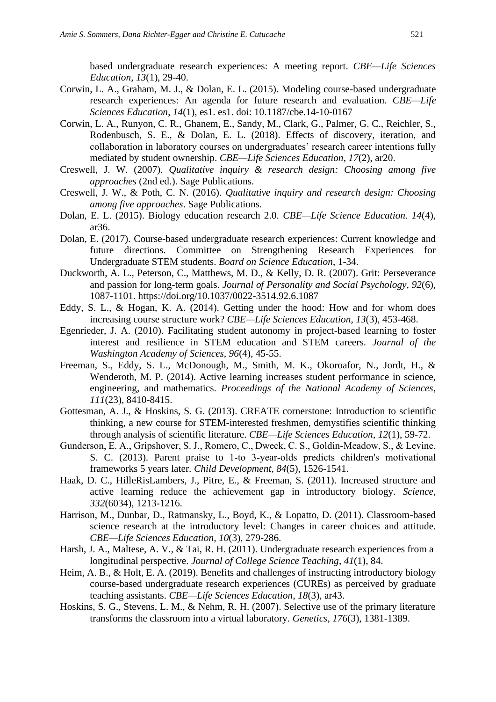based undergraduate research experiences: A meeting report. *CBE—Life Sciences Education*, *13*(1), 29-40.

- Corwin, L. A., Graham, M. J., & Dolan, E. L. (2015). Modeling course-based undergraduate research experiences: An agenda for future research and evaluation. *CBE—Life Sciences Education*, *14*(1), es1. es1. doi: 10.1187/cbe.14-10-0167
- Corwin, L. A., Runyon, C. R., Ghanem, E., Sandy, M., Clark, G., Palmer, G. C., Reichler, S., Rodenbusch, S. E., & Dolan, E. L. (2018). Effects of discovery, iteration, and collaboration in laboratory courses on undergraduates' research career intentions fully mediated by student ownership. *CBE—Life Sciences Education*, *17*(2), ar20.
- Creswell, J. W. (2007). *Qualitative inquiry & research design: Choosing among five approaches* (2nd ed.). Sage Publications.
- Creswell, J. W., & Poth, C. N. (2016). *Qualitative inquiry and research design: Choosing among five approaches*. Sage Publications.
- Dolan, E. L. (2015). Biology education research 2.0. *CBE—Life Science Education. 14*(4), ar36.
- Dolan, E. (2017). Course-based undergraduate research experiences: Current knowledge and future directions. Committee on Strengthening Research Experiences for Undergraduate STEM students. *Board on Science Education*, 1-34.
- Duckworth, A. L., Peterson, C., Matthews, M. D., & Kelly, D. R. (2007). Grit: Perseverance and passion for long-term goals. *Journal of Personality and Social Psychology*, *92*(6), 1087-1101. https://doi.org/10.1037/0022-3514.92.6.1087
- Eddy, S. L., & Hogan, K. A. (2014). Getting under the hood: How and for whom does increasing course structure work? *CBE—Life Sciences Education*, *13*(3), 453-468.
- Egenrieder, J. A. (2010). Facilitating student autonomy in project-based learning to foster interest and resilience in STEM education and STEM careers. *Journal of the Washington Academy of Sciences*, *96*(4), 45-55.
- Freeman, S., Eddy, S. L., McDonough, M., Smith, M. K., Okoroafor, N., Jordt, H., & Wenderoth, M. P. (2014). Active learning increases student performance in science, engineering, and mathematics. *Proceedings of the National Academy of Sciences*, *111*(23), 8410-8415.
- Gottesman, A. J., & Hoskins, S. G. (2013). CREATE cornerstone: Introduction to scientific thinking, a new course for STEM-interested freshmen, demystifies scientific thinking through analysis of scientific literature. *CBE—Life Sciences Education*, *12*(1), 59-72.
- Gunderson, E. A., Gripshover, S. J., Romero, C., Dweck, C. S., Goldin‐Meadow, S., & Levine, S. C. (2013). Parent praise to 1-to 3-year-olds predicts children's motivational frameworks 5 years later. *Child Development*, *84*(5), 1526-1541.
- Haak, D. C., HilleRisLambers, J., Pitre, E., & Freeman, S. (2011). Increased structure and active learning reduce the achievement gap in introductory biology. *Science*, *332*(6034), 1213-1216.
- Harrison, M., Dunbar, D., Ratmansky, L., Boyd, K., & Lopatto, D. (2011). Classroom-based science research at the introductory level: Changes in career choices and attitude. *CBE—Life Sciences Education*, *10*(3), 279-286.
- Harsh, J. A., Maltese, A. V., & Tai, R. H. (2011). Undergraduate research experiences from a longitudinal perspective. *Journal of College Science Teaching*, *41*(1), 84.
- Heim, A. B., & Holt, E. A. (2019). Benefits and challenges of instructing introductory biology course-based undergraduate research experiences (CUREs) as perceived by graduate teaching assistants. *CBE—Life Sciences Education*, *18*(3), ar43.
- Hoskins, S. G., Stevens, L. M., & Nehm, R. H. (2007). Selective use of the primary literature transforms the classroom into a virtual laboratory. *Genetics*, *176*(3), 1381-1389.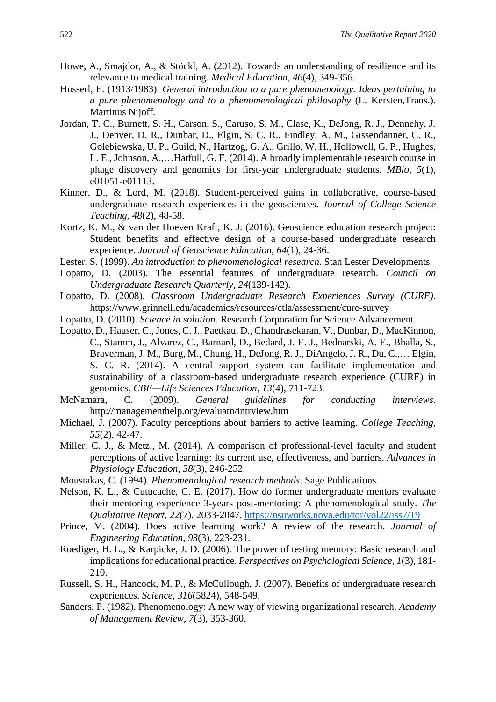- Howe, A., Smajdor, A., & Stöckl, A. (2012). Towards an understanding of resilience and its relevance to medical training. *Medical Education*, *46*(4), 349-356.
- Husserl, E. (1913/1983). *General introduction to a pure phenomenology. Ideas pertaining to a pure phenomenology and to a phenomenological philosophy* (L. Kersten,Trans.). Martinus Nijoff.
- Jordan, T. C., Burnett, S. H., Carson, S., Caruso, S. M., Clase, K., DeJong, R. J., Dennehy, J. J., Denver, D. R., Dunbar, D., Elgin, S. C. R., Findley, A. M., Gissendanner, C. R., Golebiewska, U. P., Guild, N., Hartzog, G. A., Grillo, W. H., Hollowell, G. P., Hughes, L. E., Johnson, A.,…Hatfull, G. F. (2014). A broadly implementable research course in phage discovery and genomics for first-year undergraduate students. *MBio*, *5*(1), e01051-e01113.
- Kinner, D., & Lord, M. (2018). Student-perceived gains in collaborative, course-based undergraduate research experiences in the geosciences. *Journal of College Science Teaching*, *48*(2), 48-58.
- Kortz, K. M., & van der Hoeven Kraft, K. J. (2016). Geoscience education research project: Student benefits and effective design of a course-based undergraduate research experience. *Journal of Geoscience Education*, *64*(1), 24-36.
- Lester, S. (1999). *An introduction to phenomenological research*. Stan Lester Developments.
- Lopatto, D. (2003). The essential features of undergraduate research. *Council on Undergraduate Research Quarterly*, *24*(139-142).
- Lopatto, D. (2008). *Classroom Undergraduate Research Experiences Survey (CURE)*. https://www.grinnell.edu/academics/resources/ctla/assessment/cure-survey
- Lopatto, D. (2010). *Science in solution*. Research Corporation for Science Advancement.
- Lopatto, D., Hauser, C., Jones, C. J., Paetkau, D., Chandrasekaran, V., Dunbar, D., MacKinnon, C., Stamm, J., Alvarez, C., Barnard, D., Bedard, J. E. J., Bednarski, A. E., Bhalla, S., Braverman, J. M., Burg, M., Chung, H., DeJong, R. J., DiAngelo, J. R., Du, C.,… Elgin, S. C. R. (2014). A central support system can facilitate implementation and sustainability of a classroom-based undergraduate research experience (CURE) in genomics. *CBE—Life Sciences Education*, *13*(4), 711-723.
- McNamara, C. (2009). *General guidelines for conducting interviews*. http://managementhelp.org/evaluatn/intrview.htm
- Michael, J. (2007). Faculty perceptions about barriers to active learning. *College Teaching, 55*(2), 42-47.
- Miller, C. J., & Metz., M. (2014). A comparison of professional-level faculty and student perceptions of active learning: Its current use, effectiveness, and barriers. *Advances in Physiology Education, 38*(3), 246-252.
- Moustakas, C. (1994). *Phenomenological research methods*. Sage Publications.
- Nelson, K. L., & Cutucache, C. E. (2017). How do former undergraduate mentors evaluate their mentoring experience 3-years post-mentoring: A phenomenological study. *The Qualitative Report*, *22*(7), 2033-2047. <https://nsuworks.nova.edu/tqr/vol22/iss7/19>
- Prince, M. (2004). Does active learning work? A review of the research. *Journal of Engineering Education*, *93*(3), 223-231.
- Roediger, H. L., & Karpicke, J. D. (2006). The power of testing memory: Basic research and implications for educational practice. *Perspectives on Psychological Science*, *1*(3), 181- 210.
- Russell, S. H., Hancock, M. P., & McCullough, J. (2007). Benefits of undergraduate research experiences. *Science*, *316*(5824), 548-549.
- Sanders, P. (1982). Phenomenology: A new way of viewing organizational research. *Academy of Management Review*, *7*(3), 353-360.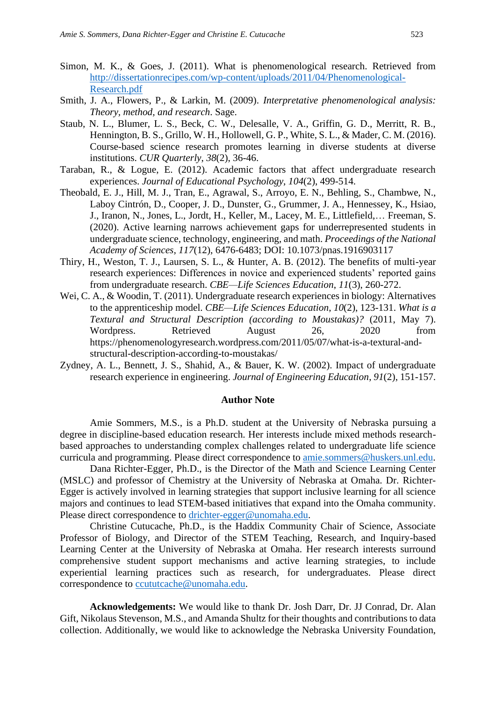- Simon, M. K., & Goes, J. (2011). What is phenomenological research. Retrieved from [http://dissertationrecipes.com/wp-content/uploads/2011/04/Phenomenological-](http://dissertationrecipes.com/wp-content/uploads/2011/04/Phenomenological-Research.pdf)[Research.pdf](http://dissertationrecipes.com/wp-content/uploads/2011/04/Phenomenological-Research.pdf)
- Smith, J. A., Flowers, P., & Larkin, M. (2009). *Interpretative phenomenological analysis: Theory, method, and research*. Sage.
- Staub, N. L., Blumer, L. S., Beck, C. W., Delesalle, V. A., Griffin, G. D., Merritt, R. B., Hennington, B. S., Grillo, W. H., Hollowell, G. P., White, S. L., & Mader, C. M. (2016). Course-based science research promotes learning in diverse students at diverse institutions. *CUR Quarterly*, *38*(2), 36-46.
- Taraban, R., & Logue, E. (2012). Academic factors that affect undergraduate research experiences. *Journal of Educational Psychology*, *104*(2), 499-514.
- Theobald, E. J., Hill, M. J., Tran, E., Agrawal, S., Arroyo, E. N., Behling, S., Chambwe, N., Laboy Cintrón, D., Cooper, J. D., Dunster, G., Grummer, J. A., Hennessey, K., Hsiao, J., Iranon, N., Jones, L., Jordt, H., Keller, M., Lacey, M. E., Littlefield,… Freeman, S. (2020). Active learning narrows achievement gaps for underrepresented students in undergraduate science, technology, engineering, and math. *Proceedings of the National Academy of Sciences, 117*(12), 6476-6483; DOI: 10.1073/pnas.1916903117
- Thiry, H., Weston, T. J., Laursen, S. L., & Hunter, A. B. (2012). The benefits of multi-year research experiences: Differences in novice and experienced students' reported gains from undergraduate research. *CBE—Life Sciences Education*, *11*(3), 260-272.
- Wei, C. A., & Woodin, T. (2011). Undergraduate research experiences in biology: Alternatives to the apprenticeship model. *CBE—Life Sciences Education*, *10*(2), 123-131. *What is a Textural and Structural Description (according to Moustakas)?* (2011, May 7). Wordpress. Retrieved August 26, 2020 from https://phenomenologyresearch.wordpress.com/2011/05/07/what-is-a-textural-andstructural-description-according-to-moustakas/
- Zydney, A. L., Bennett, J. S., Shahid, A., & Bauer, K. W. (2002). Impact of undergraduate research experience in engineering. *Journal of Engineering Education*, *91*(2), 151-157.

#### **Author Note**

Amie Sommers, M.S., is a Ph.D. student at the University of Nebraska pursuing a degree in discipline-based education research. Her interests include mixed methods researchbased approaches to understanding complex challenges related to undergraduate life science curricula and programming. Please direct correspondence to [amie.sommers@huskers.unl.edu.](mailto:amie.sommers@huskers.unl.edu)

Dana Richter-Egger, Ph.D., is the Director of the Math and Science Learning Center (MSLC) and professor of Chemistry at the University of Nebraska at Omaha. Dr. Richter-Egger is actively involved in learning strategies that support inclusive learning for all science majors and continues to lead STEM-based initiatives that expand into the Omaha community. Please direct correspondence to [drichter-egger@unomaha.edu.](mailto:drichter-egger@unomaha.edu)

Christine Cutucache, Ph.D., is the Haddix Community Chair of Science, Associate Professor of Biology, and Director of the STEM Teaching, Research, and Inquiry-based Learning Center at the University of Nebraska at Omaha. Her research interests surround comprehensive student support mechanisms and active learning strategies, to include experiential learning practices such as research, for undergraduates. Please direct correspondence to [ccututcache@unomaha.edu.](mailto:ccututcache@unomaha.edu)

**Acknowledgements:** We would like to thank Dr. Josh Darr, Dr. JJ Conrad, Dr. Alan Gift, Nikolaus Stevenson, M.S., and Amanda Shultz for their thoughts and contributions to data collection. Additionally, we would like to acknowledge the Nebraska University Foundation,